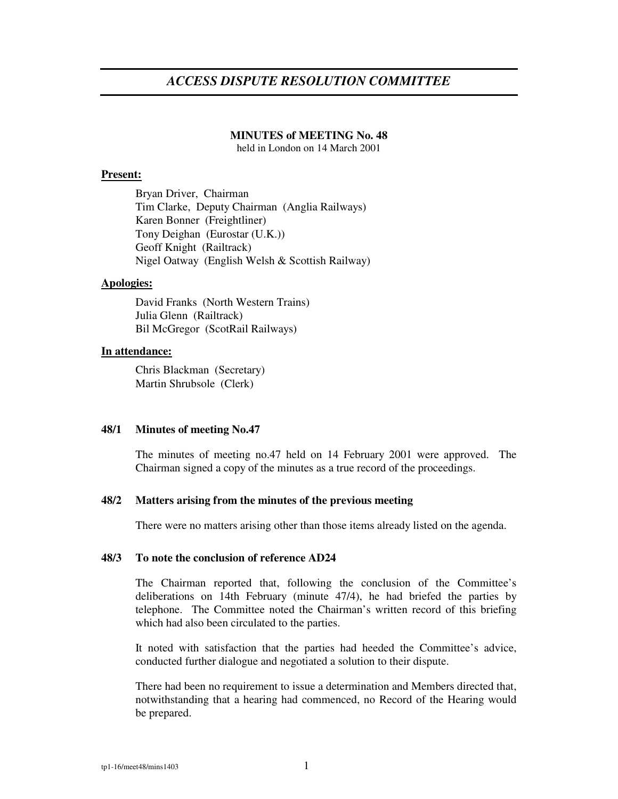# *ACCESS DISPUTE RESOLUTION COMMITTEE*

#### **MINUTES of MEETING No. 48**

held in London on 14 March 2001

#### **Present:**

Bryan Driver, Chairman Tim Clarke, Deputy Chairman (Anglia Railways) Karen Bonner (Freightliner) Tony Deighan (Eurostar (U.K.)) Geoff Knight (Railtrack) Nigel Oatway (English Welsh & Scottish Railway)

## **Apologies:**

David Franks (North Western Trains) Julia Glenn (Railtrack) Bil McGregor (ScotRail Railways)

#### **In attendance:**

Chris Blackman (Secretary) Martin Shrubsole (Clerk)

# **48/1 Minutes of meeting No.47**

The minutes of meeting no.47 held on 14 February 2001 were approved. The Chairman signed a copy of the minutes as a true record of the proceedings.

## **48/2 Matters arising from the minutes of the previous meeting**

There were no matters arising other than those items already listed on the agenda.

### **48/3 To note the conclusion of reference AD24**

The Chairman reported that, following the conclusion of the Committee's deliberations on 14th February (minute 47/4), he had briefed the parties by telephone. The Committee noted the Chairman's written record of this briefing which had also been circulated to the parties.

It noted with satisfaction that the parties had heeded the Committee's advice, conducted further dialogue and negotiated a solution to their dispute.

There had been no requirement to issue a determination and Members directed that, notwithstanding that a hearing had commenced, no Record of the Hearing would be prepared.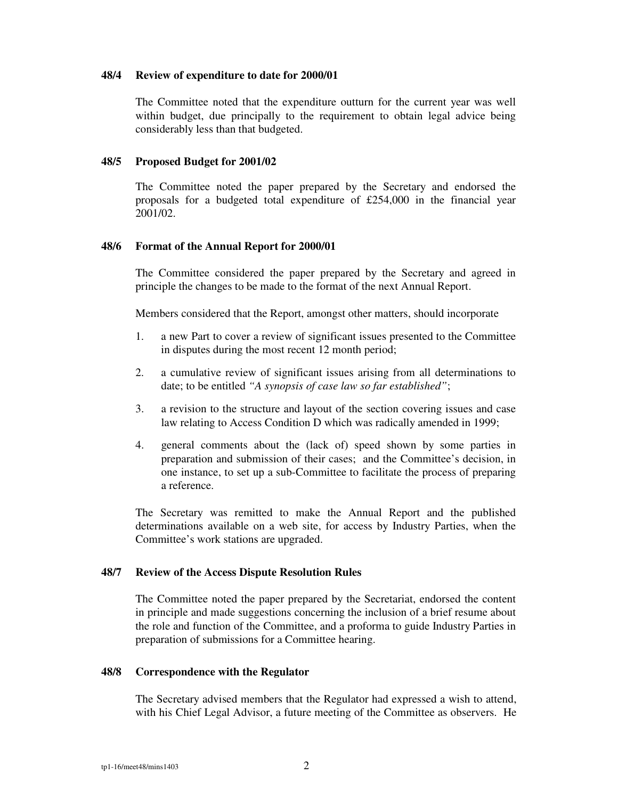### **48/4 Review of expenditure to date for 2000/01**

The Committee noted that the expenditure outturn for the current year was well within budget, due principally to the requirement to obtain legal advice being considerably less than that budgeted.

# **48/5 Proposed Budget for 2001/02**

The Committee noted the paper prepared by the Secretary and endorsed the proposals for a budgeted total expenditure of £254,000 in the financial year 2001/02.

# **48/6 Format of the Annual Report for 2000/01**

The Committee considered the paper prepared by the Secretary and agreed in principle the changes to be made to the format of the next Annual Report.

Members considered that the Report, amongst other matters, should incorporate

- 1. a new Part to cover a review of significant issues presented to the Committee in disputes during the most recent 12 month period;
- 2. a cumulative review of significant issues arising from all determinations to date; to be entitled *"A synopsis of case law so far established"*;
- 3. a revision to the structure and layout of the section covering issues and case law relating to Access Condition D which was radically amended in 1999;
- 4. general comments about the (lack of) speed shown by some parties in preparation and submission of their cases; and the Committee's decision, in one instance, to set up a sub-Committee to facilitate the process of preparing a reference.

The Secretary was remitted to make the Annual Report and the published determinations available on a web site, for access by Industry Parties, when the Committee's work stations are upgraded.

## **48/7 Review of the Access Dispute Resolution Rules**

The Committee noted the paper prepared by the Secretariat, endorsed the content in principle and made suggestions concerning the inclusion of a brief resume about the role and function of the Committee, and a proforma to guide Industry Parties in preparation of submissions for a Committee hearing.

## **48/8 Correspondence with the Regulator**

The Secretary advised members that the Regulator had expressed a wish to attend, with his Chief Legal Advisor, a future meeting of the Committee as observers. He